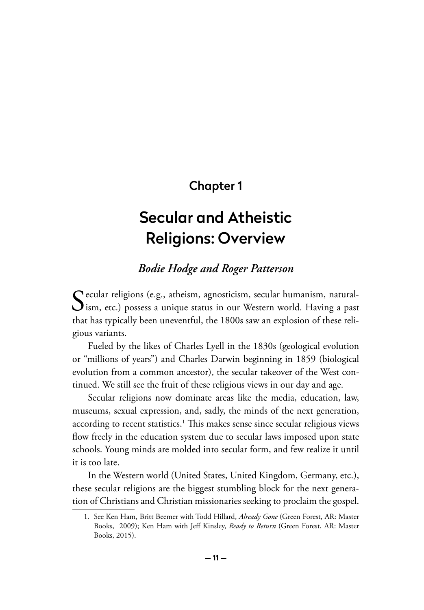# Chapter 1

# Secular and Atheistic Religions: Overview

# *Bodie Hodge and Roger Patterson*

Secular religions (e.g., atheism, agnosticism, secular humanism, natural- $\bigcup$ ism, etc.) possess a unique status in our Western world. Having a past that has typically been uneventful, the 1800s saw an explosion of these religious variants.

Fueled by the likes of Charles Lyell in the 1830s (geological evolution or "millions of years") and Charles Darwin beginning in 1859 (biological evolution from a common ancestor), the secular takeover of the West continued. We still see the fruit of these religious views in our day and age.

Secular religions now dominate areas like the media, education, law, museums, sexual expression, and, sadly, the minds of the next generation, according to recent statistics.<sup>1</sup> This makes sense since secular religious views flow freely in the education system due to secular laws imposed upon state schools. Young minds are molded into secular form, and few realize it until it is too late.

In the Western world (United States, United Kingdom, Germany, etc.), these secular religions are the biggest stumbling block for the next generation of Christians and Christian missionaries seeking to proclaim the gospel.

<sup>1.</sup> See Ken Ham, Britt Beemer with Todd Hillard, *Already Gone* (Green Forest, AR: Master Books, 2009); Ken Ham with Jeff Kinsley, *Ready to Return* (Green Forest, AR: Master Books, 2015).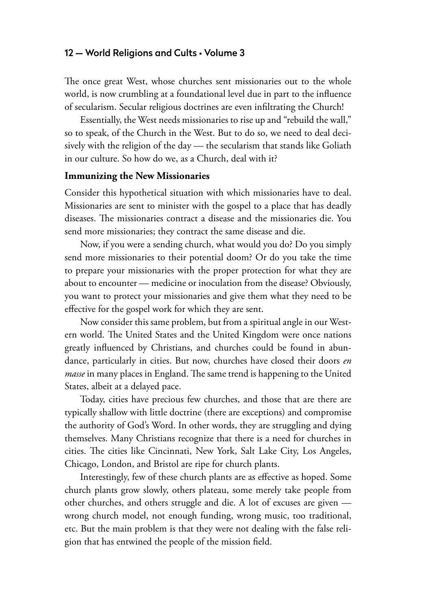The once great West, whose churches sent missionaries out to the whole world, is now crumbling at a foundational level due in part to the influence of secularism. Secular religious doctrines are even infiltrating the Church!

Essentially, the West needs missionaries to rise up and "rebuild the wall," so to speak, of the Church in the West. But to do so, we need to deal decisively with the religion of the day — the secularism that stands like Goliath in our culture. So how do we, as a Church, deal with it?

#### **Immunizing the New Missionaries**

Consider this hypothetical situation with which missionaries have to deal. Missionaries are sent to minister with the gospel to a place that has deadly diseases. The missionaries contract a disease and the missionaries die. You send more missionaries; they contract the same disease and die.

Now, if you were a sending church, what would you do? Do you simply send more missionaries to their potential doom? Or do you take the time to prepare your missionaries with the proper protection for what they are about to encounter — medicine or inoculation from the disease? Obviously, you want to protect your missionaries and give them what they need to be effective for the gospel work for which they are sent.

Now consider this same problem, but from a spiritual angle in our Western world. The United States and the United Kingdom were once nations greatly influenced by Christians, and churches could be found in abundance, particularly in cities. But now, churches have closed their doors *en masse* in many places in England. The same trend is happening to the United States, albeit at a delayed pace.

Today, cities have precious few churches, and those that are there are typically shallow with little doctrine (there are exceptions) and compromise the authority of God's Word. In other words, they are struggling and dying themselves. Many Christians recognize that there is a need for churches in cities. The cities like Cincinnati, New York, Salt Lake City, Los Angeles, Chicago, London, and Bristol are ripe for church plants.

Interestingly, few of these church plants are as effective as hoped. Some church plants grow slowly, others plateau, some merely take people from other churches, and others struggle and die. A lot of excuses are given wrong church model, not enough funding, wrong music, too traditional, etc. But the main problem is that they were not dealing with the false religion that has entwined the people of the mission field.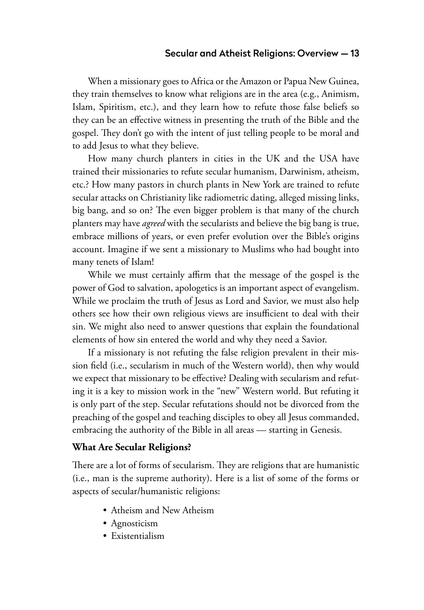When a missionary goes to Africa or the Amazon or Papua New Guinea, they train themselves to know what religions are in the area (e.g., Animism, Islam, Spiritism, etc.), and they learn how to refute those false beliefs so they can be an effective witness in presenting the truth of the Bible and the gospel. They don't go with the intent of just telling people to be moral and to add Jesus to what they believe.

How many church planters in cities in the UK and the USA have trained their missionaries to refute secular humanism, Darwinism, atheism, etc.? How many pastors in church plants in New York are trained to refute secular attacks on Christianity like radiometric dating, alleged missing links, big bang, and so on? The even bigger problem is that many of the church planters may have *agreed* with the secularists and believe the big bang is true, embrace millions of years, or even prefer evolution over the Bible's origins account. Imagine if we sent a missionary to Muslims who had bought into many tenets of Islam!

While we must certainly affirm that the message of the gospel is the power of God to salvation, apologetics is an important aspect of evangelism. While we proclaim the truth of Jesus as Lord and Savior, we must also help others see how their own religious views are insufficient to deal with their sin. We might also need to answer questions that explain the foundational elements of how sin entered the world and why they need a Savior.

If a missionary is not refuting the false religion prevalent in their mission field (i.e., secularism in much of the Western world), then why would we expect that missionary to be effective? Dealing with secularism and refuting it is a key to mission work in the "new" Western world. But refuting it is only part of the step. Secular refutations should not be divorced from the preaching of the gospel and teaching disciples to obey all Jesus commanded, embracing the authority of the Bible in all areas — starting in Genesis.

#### **What Are Secular Religions?**

There are a lot of forms of secularism. They are religions that are humanistic (i.e., man is the supreme authority). Here is a list of some of the forms or aspects of secular/humanistic religions:

- Atheism and New Atheism
- Agnosticism
- Existentialism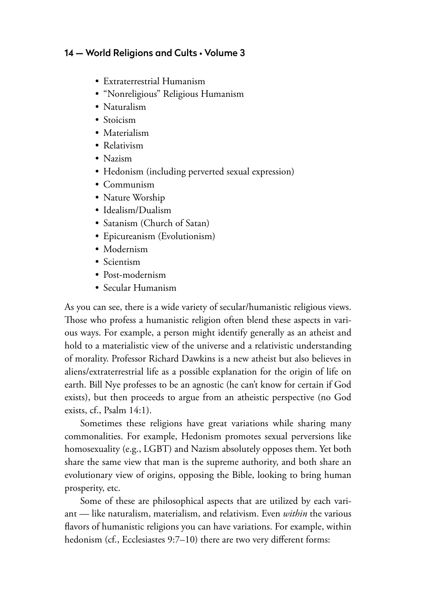- Extraterrestrial Humanism
- "Nonreligious" Religious Humanism
- Naturalism
- Stoicism
- Materialism
- Relativism
- Nazism
- Hedonism (including perverted sexual expression)
- Communism
- Nature Worship
- Idealism/Dualism
- Satanism (Church of Satan)
- Epicureanism (Evolutionism)
- Modernism
- Scientism
- Post-modernism
- Secular Humanism

As you can see, there is a wide variety of secular/humanistic religious views. Those who profess a humanistic religion often blend these aspects in various ways. For example, a person might identify generally as an atheist and hold to a materialistic view of the universe and a relativistic understanding of morality. Professor Richard Dawkins is a new atheist but also believes in aliens/extraterrestrial life as a possible explanation for the origin of life on earth. Bill Nye professes to be an agnostic (he can't know for certain if God exists), but then proceeds to argue from an atheistic perspective (no God exists, cf., Psalm 14:1).

Sometimes these religions have great variations while sharing many commonalities. For example, Hedonism promotes sexual perversions like homosexuality (e.g., LGBT) and Nazism absolutely opposes them. Yet both share the same view that man is the supreme authority, and both share an evolutionary view of origins, opposing the Bible, looking to bring human prosperity, etc.

Some of these are philosophical aspects that are utilized by each variant — like naturalism, materialism, and relativism. Even *within* the various flavors of humanistic religions you can have variations. For example, within hedonism (cf., Ecclesiastes 9:7–10) there are two very different forms: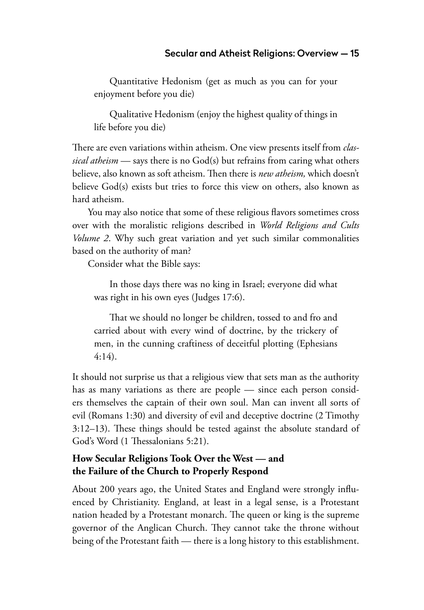Quantitative Hedonism (get as much as you can for your enjoyment before you die)

Qualitative Hedonism (enjoy the highest quality of things in life before you die)

There are even variations within atheism. One view presents itself from *classical atheism* — says there is no God(s) but refrains from caring what others believe, also known as soft atheism. Then there is *new atheism,* which doesn't believe God(s) exists but tries to force this view on others, also known as hard atheism.

You may also notice that some of these religious flavors sometimes cross over with the moralistic religions described in *World Religions and Cults Volume 2*. Why such great variation and yet such similar commonalities based on the authority of man?

Consider what the Bible says:

In those days there was no king in Israel; everyone did what was right in his own eyes (Judges 17:6).

That we should no longer be children, tossed to and fro and carried about with every wind of doctrine, by the trickery of men, in the cunning craftiness of deceitful plotting (Ephesians 4:14).

It should not surprise us that a religious view that sets man as the authority has as many variations as there are people — since each person considers themselves the captain of their own soul. Man can invent all sorts of evil (Romans 1:30) and diversity of evil and deceptive doctrine (2 Timothy 3:12–13). These things should be tested against the absolute standard of God's Word (1 Thessalonians 5:21).

## **How Secular Religions Took Over the West — and the Failure of the Church to Properly Respond**

About 200 years ago, the United States and England were strongly influenced by Christianity. England, at least in a legal sense, is a Protestant nation headed by a Protestant monarch. The queen or king is the supreme governor of the Anglican Church. They cannot take the throne without being of the Protestant faith — there is a long history to this establishment.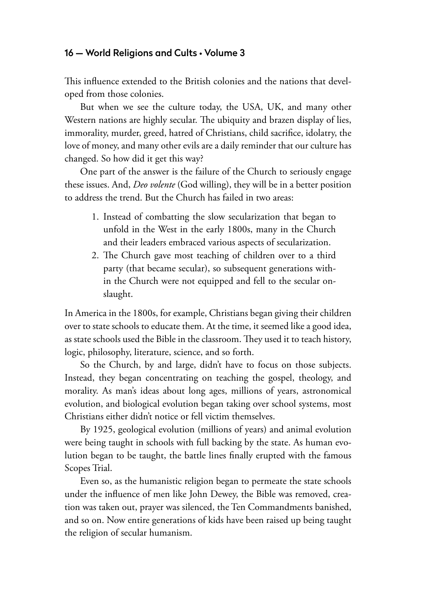This influence extended to the British colonies and the nations that developed from those colonies.

But when we see the culture today, the USA, UK, and many other Western nations are highly secular. The ubiquity and brazen display of lies, immorality, murder, greed, hatred of Christians, child sacrifice, idolatry, the love of money, and many other evils are a daily reminder that our culture has changed. So how did it get this way?

One part of the answer is the failure of the Church to seriously engage these issues. And, *Deo volente* (God willing), they will be in a better position to address the trend. But the Church has failed in two areas:

- 1. Instead of combatting the slow secularization that began to unfold in the West in the early 1800s, many in the Church and their leaders embraced various aspects of secularization.
- 2. The Church gave most teaching of children over to a third party (that became secular), so subsequent generations within the Church were not equipped and fell to the secular onslaught.

In America in the 1800s, for example, Christians began giving their children over to state schools to educate them. At the time, it seemed like a good idea, as state schools used the Bible in the classroom. They used it to teach history, logic, philosophy, literature, science, and so forth.

So the Church, by and large, didn't have to focus on those subjects. Instead, they began concentrating on teaching the gospel, theology, and morality. As man's ideas about long ages, millions of years, astronomical evolution, and biological evolution began taking over school systems, most Christians either didn't notice or fell victim themselves.

By 1925, geological evolution (millions of years) and animal evolution were being taught in schools with full backing by the state. As human evolution began to be taught, the battle lines finally erupted with the famous Scopes Trial.

Even so, as the humanistic religion began to permeate the state schools under the influence of men like John Dewey, the Bible was removed, creation was taken out, prayer was silenced, the Ten Commandments banished, and so on. Now entire generations of kids have been raised up being taught the religion of secular humanism.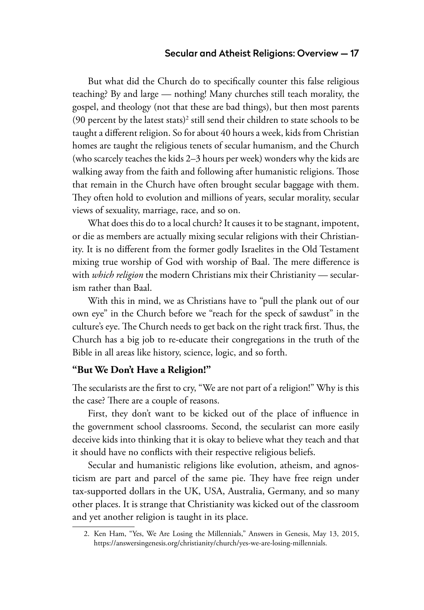But what did the Church do to specifically counter this false religious teaching? By and large — nothing! Many churches still teach morality, the gospel, and theology (not that these are bad things), but then most parents (90 percent by the latest stats)<sup>2</sup> still send their children to state schools to be taught a different religion. So for about 40 hours a week, kids from Christian homes are taught the religious tenets of secular humanism, and the Church (who scarcely teaches the kids 2–3 hours per week) wonders why the kids are walking away from the faith and following after humanistic religions. Those that remain in the Church have often brought secular baggage with them. They often hold to evolution and millions of years, secular morality, secular views of sexuality, marriage, race, and so on.

What does this do to a local church? It causes it to be stagnant, impotent, or die as members are actually mixing secular religions with their Christianity. It is no different from the former godly Israelites in the Old Testament mixing true worship of God with worship of Baal. The mere difference is with *which religion* the modern Christians mix their Christianity — secularism rather than Baal.

With this in mind, we as Christians have to "pull the plank out of our own eye" in the Church before we "reach for the speck of sawdust" in the culture's eye. The Church needs to get back on the right track first. Thus, the Church has a big job to re-educate their congregations in the truth of the Bible in all areas like history, science, logic, and so forth.

# **"But We Don't Have a Religion!"**

The secularists are the first to cry, "We are not part of a religion!" Why is this the case? There are a couple of reasons.

First, they don't want to be kicked out of the place of influence in the government school classrooms. Second, the secularist can more easily deceive kids into thinking that it is okay to believe what they teach and that it should have no conflicts with their respective religious beliefs.

Secular and humanistic religions like evolution, atheism, and agnosticism are part and parcel of the same pie. They have free reign under tax-supported dollars in the UK, USA, Australia, Germany, and so many other places. It is strange that Christianity was kicked out of the classroom and yet another religion is taught in its place.

<sup>2.</sup> Ken Ham, "Yes, We Are Losing the Millennials," Answers in Genesis, May 13, 2015, https://answersingenesis.org/christianity/church/yes-we-are-losing-millennials.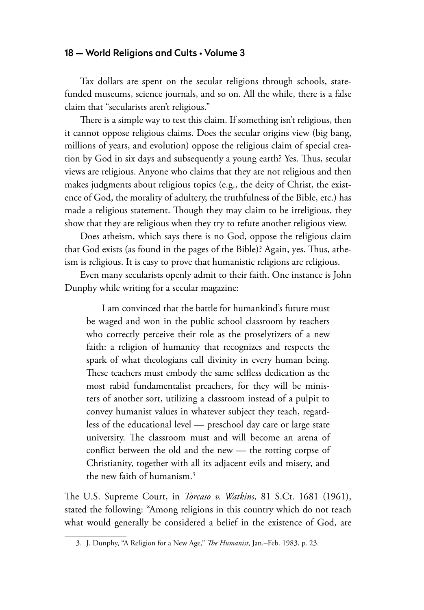Tax dollars are spent on the secular religions through schools, statefunded museums, science journals, and so on. All the while, there is a false claim that "secularists aren't religious."

There is a simple way to test this claim. If something isn't religious, then it cannot oppose religious claims. Does the secular origins view (big bang, millions of years, and evolution) oppose the religious claim of special creation by God in six days and subsequently a young earth? Yes. Thus, secular views are religious. Anyone who claims that they are not religious and then makes judgments about religious topics (e.g., the deity of Christ, the existence of God, the morality of adultery, the truthfulness of the Bible, etc.) has made a religious statement. Though they may claim to be irreligious, they show that they are religious when they try to refute another religious view.

Does atheism, which says there is no God, oppose the religious claim that God exists (as found in the pages of the Bible)? Again, yes. Thus, atheism is religious. It is easy to prove that humanistic religions are religious.

Even many secularists openly admit to their faith. One instance is John Dunphy while writing for a secular magazine:

I am convinced that the battle for humankind's future must be waged and won in the public school classroom by teachers who correctly perceive their role as the proselytizers of a new faith: a religion of humanity that recognizes and respects the spark of what theologians call divinity in every human being. These teachers must embody the same selfless dedication as the most rabid fundamentalist preachers, for they will be ministers of another sort, utilizing a classroom instead of a pulpit to convey humanist values in whatever subject they teach, regardless of the educational level — preschool day care or large state university. The classroom must and will become an arena of conflict between the old and the new — the rotting corpse of Christianity, together with all its adjacent evils and misery, and the new faith of humanism.<sup>3</sup>

The U.S. Supreme Court, in *Torcaso v. Watkins*, 81 S.Ct. 1681 (1961), stated the following: "Among religions in this country which do not teach what would generally be considered a belief in the existence of God, are

<sup>3.</sup> J. Dunphy, "A Religion for a New Age," *The Humanist*, Jan.–Feb. 1983, p. 23.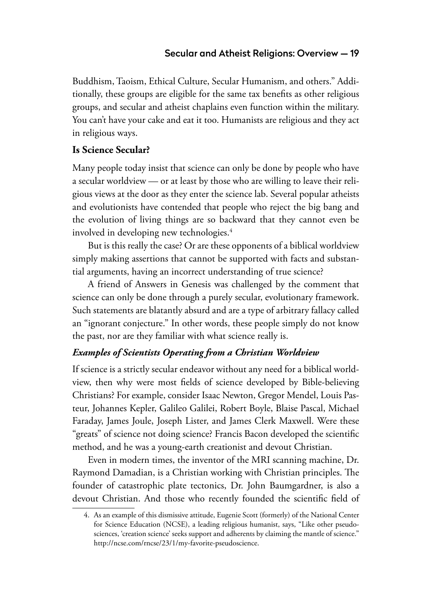Buddhism, Taoism, Ethical Culture, Secular Humanism, and others." Additionally, these groups are eligible for the same tax benefits as other religious groups, and secular and atheist chaplains even function within the military. You can't have your cake and eat it too. Humanists are religious and they act in religious ways.

# **Is Science Secular?**

Many people today insist that science can only be done by people who have a secular worldview — or at least by those who are willing to leave their religious views at the door as they enter the science lab. Several popular atheists and evolutionists have contended that people who reject the big bang and the evolution of living things are so backward that they cannot even be involved in developing new technologies.<sup>4</sup>

But is this really the case? Or are these opponents of a biblical worldview simply making assertions that cannot be supported with facts and substantial arguments, having an incorrect understanding of true science?

A friend of Answers in Genesis was challenged by the comment that science can only be done through a purely secular, evolutionary framework. Such statements are blatantly absurd and are a type of arbitrary fallacy called an "ignorant conjecture." In other words, these people simply do not know the past, nor are they familiar with what science really is.

# *Examples of Scientists Operating from a Christian Worldview*

If science is a strictly secular endeavor without any need for a biblical worldview, then why were most fields of science developed by Bible-believing Christians? For example, consider Isaac Newton, Gregor Mendel, Louis Pasteur, Johannes Kepler, Galileo Galilei, Robert Boyle, Blaise Pascal, Michael Faraday, James Joule, Joseph Lister, and James Clerk Maxwell. Were these "greats" of science not doing science? Francis Bacon developed the scientific method, and he was a young-earth creationist and devout Christian.

Even in modern times, the inventor of the MRI scanning machine, Dr. Raymond Damadian, is a Christian working with Christian principles. The founder of catastrophic plate tectonics, Dr. John Baumgardner, is also a devout Christian. And those who recently founded the scientific field of

<sup>4.</sup> As an example of this dismissive attitude, Eugenie Scott (formerly) of the National Center for Science Education (NCSE), a leading religious humanist, says, "Like other pseudosciences, 'creation science' seeks support and adherents by claiming the mantle of science." http://ncse.com/rncse/23/1/my-favorite-pseudoscience.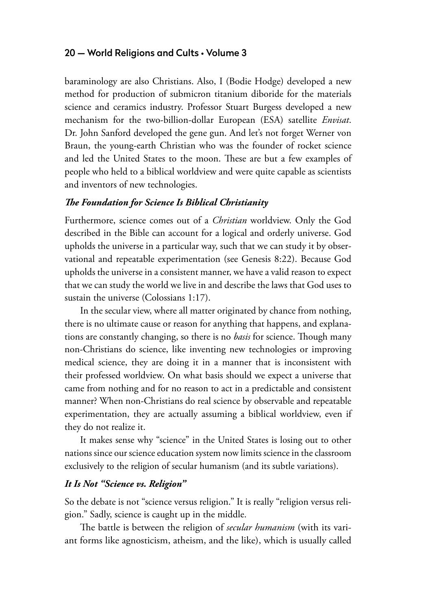baraminology are also Christians. Also, I (Bodie Hodge) developed a new method for production of submicron titanium diboride for the materials science and ceramics industry. Professor Stuart Burgess developed a new mechanism for the two-billion-dollar European (ESA) satellite *Envisat*. Dr. John Sanford developed the gene gun. And let's not forget Werner von Braun, the young-earth Christian who was the founder of rocket science and led the United States to the moon. These are but a few examples of people who held to a biblical worldview and were quite capable as scientists and inventors of new technologies.

## *The Foundation for Science Is Biblical Christianity*

Furthermore, science comes out of a *Christian* worldview. Only the God described in the Bible can account for a logical and orderly universe. God upholds the universe in a particular way, such that we can study it by observational and repeatable experimentation (see Genesis 8:22). Because God upholds the universe in a consistent manner, we have a valid reason to expect that we can study the world we live in and describe the laws that God uses to sustain the universe (Colossians 1:17).

In the secular view, where all matter originated by chance from nothing, there is no ultimate cause or reason for anything that happens, and explanations are constantly changing, so there is no *basis* for science. Though many non-Christians do science, like inventing new technologies or improving medical science, they are doing it in a manner that is inconsistent with their professed worldview. On what basis should we expect a universe that came from nothing and for no reason to act in a predictable and consistent manner? When non-Christians do real science by observable and repeatable experimentation, they are actually assuming a biblical worldview, even if they do not realize it.

It makes sense why "science" in the United States is losing out to other nations since our science education system now limits science in the classroom exclusively to the religion of secular humanism (and its subtle variations).

#### *It Is Not "Science vs. Religion"*

So the debate is not "science versus religion." It is really "religion versus religion." Sadly, science is caught up in the middle.

The battle is between the religion of *secular humanism* (with its variant forms like agnosticism, atheism, and the like), which is usually called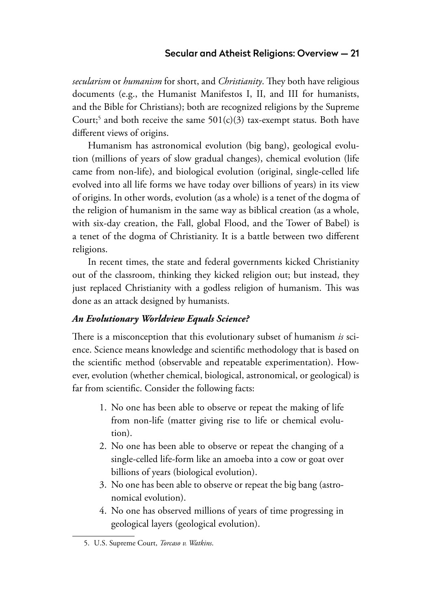*secularism* or *humanism* for short, and *Christianity*. They both have religious documents (e.g., the Humanist Manifestos I, II, and III for humanists, and the Bible for Christians); both are recognized religions by the Supreme Court;<sup>5</sup> and both receive the same  $501(c)(3)$  tax-exempt status. Both have different views of origins.

Humanism has astronomical evolution (big bang), geological evolution (millions of years of slow gradual changes), chemical evolution (life came from non-life), and biological evolution (original, single-celled life evolved into all life forms we have today over billions of years) in its view of origins. In other words, evolution (as a whole) is a tenet of the dogma of the religion of humanism in the same way as biblical creation (as a whole, with six-day creation, the Fall, global Flood, and the Tower of Babel) is a tenet of the dogma of Christianity. It is a battle between two different religions.

In recent times, the state and federal governments kicked Christianity out of the classroom, thinking they kicked religion out; but instead, they just replaced Christianity with a godless religion of humanism. This was done as an attack designed by humanists.

# *An Evolutionary Worldview Equals Science?*

There is a misconception that this evolutionary subset of humanism *is* science. Science means knowledge and scientific methodology that is based on the scientific method (observable and repeatable experimentation). However, evolution (whether chemical, biological, astronomical, or geological) is far from scientific. Consider the following facts:

- 1. No one has been able to observe or repeat the making of life from non-life (matter giving rise to life or chemical evolution).
- 2. No one has been able to observe or repeat the changing of a single-celled life-form like an amoeba into a cow or goat over billions of years (biological evolution).
- 3. No one has been able to observe or repeat the big bang (astronomical evolution).
- 4. No one has observed millions of years of time progressing in geological layers (geological evolution).

<sup>5.</sup> U.S. Supreme Court, *Torcaso v. Watkins*.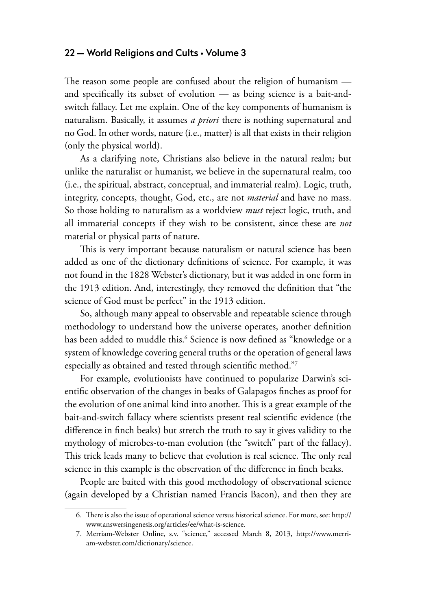The reason some people are confused about the religion of humanism and specifically its subset of evolution — as being science is a bait-andswitch fallacy. Let me explain. One of the key components of humanism is naturalism. Basically, it assumes *a priori* there is nothing supernatural and no God. In other words, nature (i.e., matter) is all that exists in their religion (only the physical world).

As a clarifying note, Christians also believe in the natural realm; but unlike the naturalist or humanist, we believe in the supernatural realm, too (i.e., the spiritual, abstract, conceptual, and immaterial realm). Logic, truth, integrity, concepts, thought, God, etc., are not *material* and have no mass. So those holding to naturalism as a worldview *must* reject logic, truth, and all immaterial concepts if they wish to be consistent, since these are *not*  material or physical parts of nature.

This is very important because naturalism or natural science has been added as one of the dictionary definitions of science. For example, it was not found in the 1828 Webster's dictionary, but it was added in one form in the 1913 edition. And, interestingly, they removed the definition that "the science of God must be perfect" in the 1913 edition.

So, although many appeal to observable and repeatable science through methodology to understand how the universe operates, another definition has been added to muddle this.6 Science is now defined as "knowledge or a system of knowledge covering general truths or the operation of general laws especially as obtained and tested through scientific method."7

For example, evolutionists have continued to popularize Darwin's scientific observation of the changes in beaks of Galapagos finches as proof for the evolution of one animal kind into another. This is a great example of the bait-and-switch fallacy where scientists present real scientific evidence (the difference in finch beaks) but stretch the truth to say it gives validity to the mythology of microbes-to-man evolution (the "switch" part of the fallacy). This trick leads many to believe that evolution is real science. The only real science in this example is the observation of the difference in finch beaks.

People are baited with this good methodology of observational science (again developed by a Christian named Francis Bacon), and then they are

<sup>6.</sup> There is also the issue of operational science versus historical science. For more, see: http:// www.answersingenesis.org/articles/ee/what-is-science.

<sup>7.</sup> Merriam-Webster Online, s.v. "science," accessed March 8, 2013, http://www.merriam-webster.com/dictionary/science.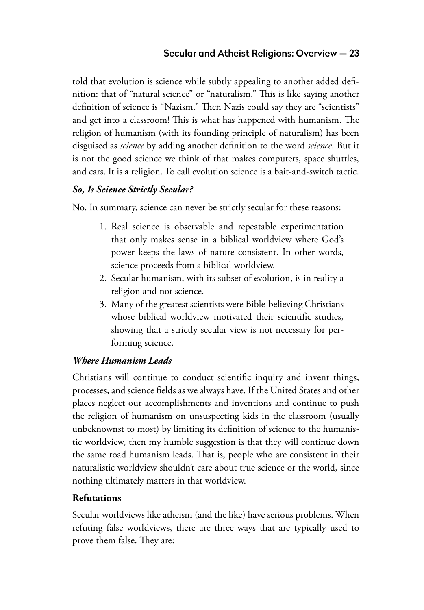told that evolution is science while subtly appealing to another added definition: that of "natural science" or "naturalism." This is like saying another definition of science is "Nazism." Then Nazis could say they are "scientists" and get into a classroom! This is what has happened with humanism. The religion of humanism (with its founding principle of naturalism) has been disguised as *science* by adding another definition to the word *science*. But it is not the good science we think of that makes computers, space shuttles, and cars. It is a religion. To call evolution science is a bait-and-switch tactic.

# *So, Is Science Strictly Secular?*

No. In summary, science can never be strictly secular for these reasons:

- 1. Real science is observable and repeatable experimentation that only makes sense in a biblical worldview where God's power keeps the laws of nature consistent. In other words, science proceeds from a biblical worldview.
- 2. Secular humanism, with its subset of evolution, is in reality a religion and not science.
- 3. Many of the greatest scientists were Bible-believing Christians whose biblical worldview motivated their scientific studies, showing that a strictly secular view is not necessary for performing science.

# *Where Humanism Leads*

Christians will continue to conduct scientific inquiry and invent things, processes, and science fields as we always have. If the United States and other places neglect our accomplishments and inventions and continue to push the religion of humanism on unsuspecting kids in the classroom (usually unbeknownst to most) by limiting its definition of science to the humanistic worldview, then my humble suggestion is that they will continue down the same road humanism leads. That is, people who are consistent in their naturalistic worldview shouldn't care about true science or the world, since nothing ultimately matters in that worldview.

# **Refutations**

Secular worldviews like atheism (and the like) have serious problems. When refuting false worldviews, there are three ways that are typically used to prove them false. They are: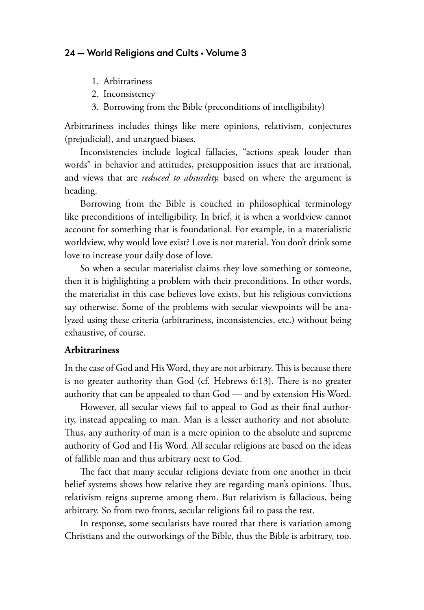- 1. Arbitrariness
- 2. Inconsistency
- 3. Borrowing from the Bible (preconditions of intelligibility)

Arbitrariness includes things like mere opinions, relativism, conjectures (prejudicial), and unargued biases.

Inconsistencies include logical fallacies, "actions speak louder than words" in behavior and attitudes, presupposition issues that are irrational, and views that are *reduced to absurdity,* based on where the argument is heading.

Borrowing from the Bible is couched in philosophical terminology like preconditions of intelligibility. In brief, it is when a worldview cannot account for something that is foundational. For example, in a materialistic worldview, why would love exist? Love is not material. You don't drink some love to increase your daily dose of love.

So when a secular materialist claims they love something or someone, then it is highlighting a problem with their preconditions. In other words, the materialist in this case believes love exists, but his religious convictions say otherwise. Some of the problems with secular viewpoints will be analyzed using these criteria (arbitrariness, inconsistencies, etc.) without being exhaustive, of course.

#### **Arbitrariness**

In the case of God and His Word, they are not arbitrary. This is because there is no greater authority than God (cf. Hebrews 6:13). There is no greater authority that can be appealed to than God — and by extension His Word.

However, all secular views fail to appeal to God as their final authority, instead appealing to man. Man is a lesser authority and not absolute. Thus, any authority of man is a mere opinion to the absolute and supreme authority of God and His Word. All secular religions are based on the ideas of fallible man and thus arbitrary next to God.

The fact that many secular religions deviate from one another in their belief systems shows how relative they are regarding man's opinions. Thus, relativism reigns supreme among them. But relativism is fallacious, being arbitrary. So from two fronts, secular religions fail to pass the test.

In response, some secularists have touted that there is variation among Christians and the outworkings of the Bible, thus the Bible is arbitrary, too.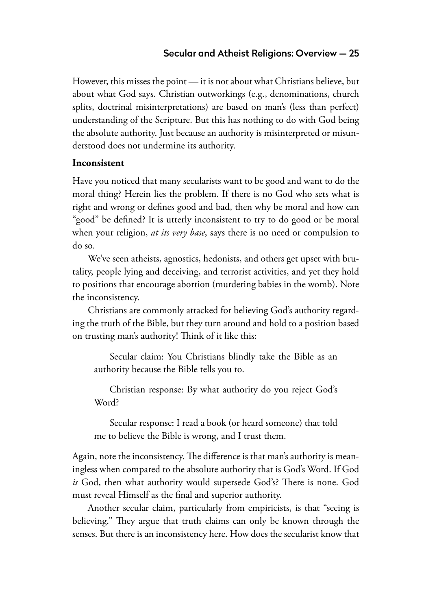However, this misses the point — it is not about what Christians believe, but about what God says. Christian outworkings (e.g., denominations, church splits, doctrinal misinterpretations) are based on man's (less than perfect) understanding of the Scripture. But this has nothing to do with God being the absolute authority. Just because an authority is misinterpreted or misunderstood does not undermine its authority.

#### **Inconsistent**

Have you noticed that many secularists want to be good and want to do the moral thing? Herein lies the problem. If there is no God who sets what is right and wrong or defines good and bad, then why be moral and how can "good" be defined? It is utterly inconsistent to try to do good or be moral when your religion, *at its very base*, says there is no need or compulsion to do so.

We've seen atheists, agnostics, hedonists, and others get upset with brutality, people lying and deceiving, and terrorist activities, and yet they hold to positions that encourage abortion (murdering babies in the womb). Note the inconsistency.

Christians are commonly attacked for believing God's authority regarding the truth of the Bible, but they turn around and hold to a position based on trusting man's authority! Think of it like this:

Secular claim: You Christians blindly take the Bible as an authority because the Bible tells you to.

Christian response: By what authority do you reject God's Word?

Secular response: I read a book (or heard someone) that told me to believe the Bible is wrong, and I trust them.

Again, note the inconsistency. The difference is that man's authority is meaningless when compared to the absolute authority that is God's Word. If God *is* God, then what authority would supersede God's? There is none. God must reveal Himself as the final and superior authority.

Another secular claim, particularly from empiricists, is that "seeing is believing." They argue that truth claims can only be known through the senses. But there is an inconsistency here. How does the secularist know that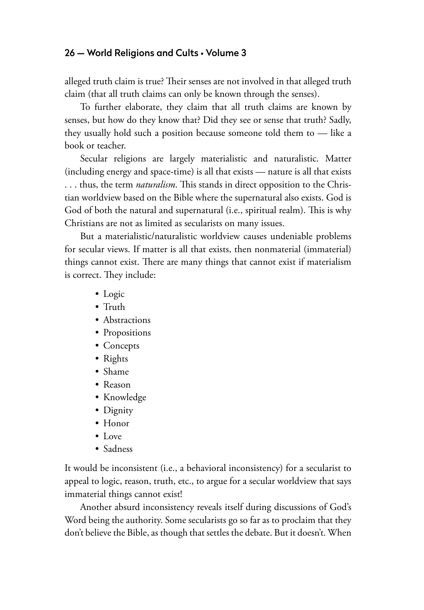alleged truth claim is true? Their senses are not involved in that alleged truth claim (that all truth claims can only be known through the senses).

To further elaborate, they claim that all truth claims are known by senses, but how do they know that? Did they see or sense that truth? Sadly, they usually hold such a position because someone told them to — like a book or teacher.

Secular religions are largely materialistic and naturalistic. Matter (including energy and space-time) is all that exists — nature is all that exists . . . thus, the term *naturalism*. This stands in direct opposition to the Christian worldview based on the Bible where the supernatural also exists. God is God of both the natural and supernatural (i.e., spiritual realm). This is why Christians are not as limited as secularists on many issues.

But a materialistic/naturalistic worldview causes undeniable problems for secular views. If matter is all that exists, then nonmaterial (immaterial) things cannot exist. There are many things that cannot exist if materialism is correct. They include:

- Logic
- Truth
- Abstractions
- Propositions
- Concepts
- Rights
- Shame
- Reason
- Knowledge
- Dignity
- Honor
- Love
- Sadness

It would be inconsistent (i.e., a behavioral inconsistency) for a secularist to appeal to logic, reason, truth, etc., to argue for a secular worldview that says immaterial things cannot exist!

Another absurd inconsistency reveals itself during discussions of God's Word being the authority. Some secularists go so far as to proclaim that they don't believe the Bible, as though that settles the debate. But it doesn't. When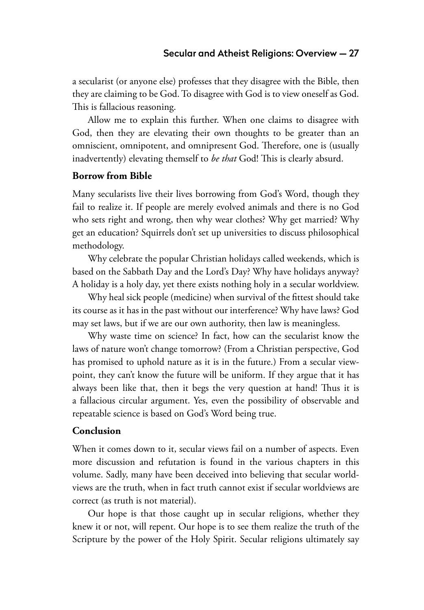a secularist (or anyone else) professes that they disagree with the Bible, then they are claiming to be God. To disagree with God is to view oneself as God. This is fallacious reasoning.

Allow me to explain this further. When one claims to disagree with God, then they are elevating their own thoughts to be greater than an omniscient, omnipotent, and omnipresent God. Therefore, one is (usually inadvertently) elevating themself to *be that* God! This is clearly absurd.

## **Borrow from Bible**

Many secularists live their lives borrowing from God's Word, though they fail to realize it. If people are merely evolved animals and there is no God who sets right and wrong, then why wear clothes? Why get married? Why get an education? Squirrels don't set up universities to discuss philosophical methodology.

Why celebrate the popular Christian holidays called weekends, which is based on the Sabbath Day and the Lord's Day? Why have holidays anyway? A holiday is a holy day, yet there exists nothing holy in a secular worldview.

Why heal sick people (medicine) when survival of the fittest should take its course as it has in the past without our interference? Why have laws? God may set laws, but if we are our own authority, then law is meaningless.

Why waste time on science? In fact, how can the secularist know the laws of nature won't change tomorrow? (From a Christian perspective, God has promised to uphold nature as it is in the future.) From a secular viewpoint, they can't know the future will be uniform. If they argue that it has always been like that, then it begs the very question at hand! Thus it is a fallacious circular argument. Yes, even the possibility of observable and repeatable science is based on God's Word being true.

# **Conclusion**

When it comes down to it, secular views fail on a number of aspects. Even more discussion and refutation is found in the various chapters in this volume. Sadly, many have been deceived into believing that secular worldviews are the truth, when in fact truth cannot exist if secular worldviews are correct (as truth is not material).

Our hope is that those caught up in secular religions, whether they knew it or not, will repent. Our hope is to see them realize the truth of the Scripture by the power of the Holy Spirit. Secular religions ultimately say